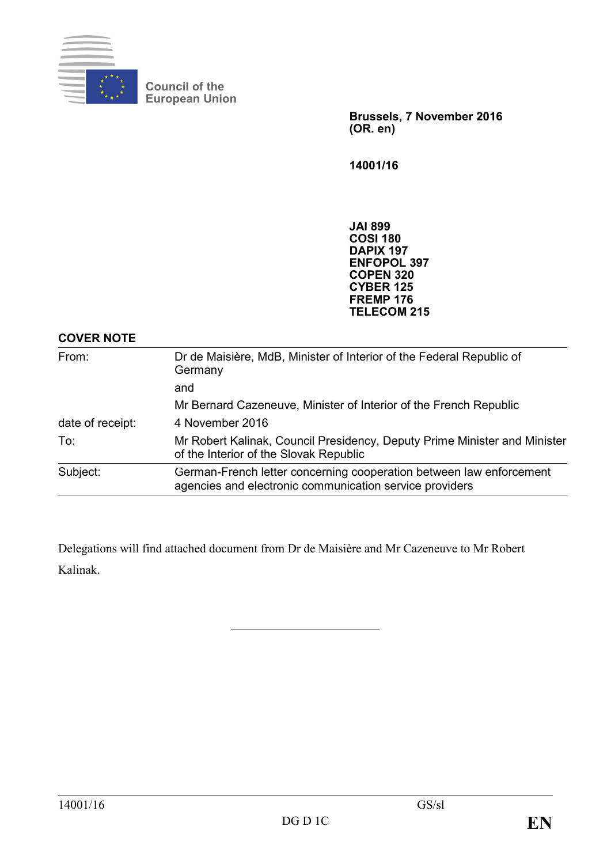

**Council of the European Union** 

> **Brussels, 7 November 2016 (OR. en)**

**14001/16** 

**JAI 899 COSI 180 DAPIX 197 ENFOPOL 397 COPEN 320 CYBER 125 FREMP 176 TELECOM 215** 

## **COVER NOTE**

| From:            | Dr de Maisière, MdB, Minister of Interior of the Federal Republic of<br>Germany                                                |
|------------------|--------------------------------------------------------------------------------------------------------------------------------|
|                  | and                                                                                                                            |
|                  | Mr Bernard Cazeneuve, Minister of Interior of the French Republic                                                              |
| date of receipt: | 4 November 2016                                                                                                                |
| To:              | Mr Robert Kalinak, Council Presidency, Deputy Prime Minister and Minister<br>of the Interior of the Slovak Republic            |
| Subject:         | German-French letter concerning cooperation between law enforcement<br>agencies and electronic communication service providers |

Delegations will find attached document from Dr de Maisière and Mr Cazeneuve to Mr Robert Kalinak.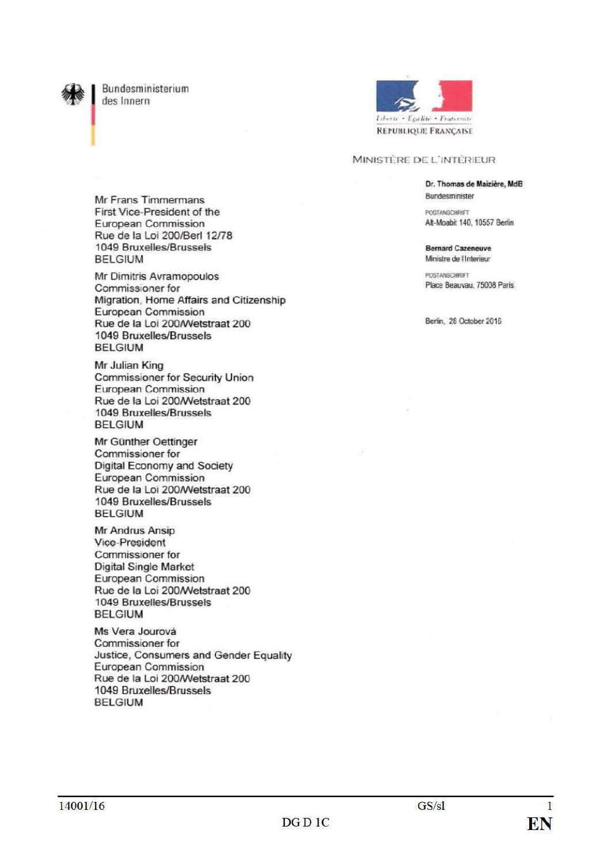

Bundesministerium des Innern



## MINISTÈRE DE L'INTÉRIEUR

Dr. Thomas de Maizière, MdB Bundesminister

**DIVETAMECHIDIET** Alt-Moabit 140, 10557 Berlin

**Bernard Cazeneuve** Ministre de l'Interieur

POSTANSCHRIFT Place Beauvau, 75008 Paris

Berlin, 28 October 2016

Mr Frans Timmermans First Vice-President of the European Commission Rue de la Loi 200/Berl 12/78 1049 Bruxelles/Brussels **BELGIUM** 

Mr Dimitris Avramopoulos Commissioner for Migration, Home Affairs and Citizenship European Commission Rue de la Loi 200/Wetstraat 200 1049 Bruxelles/Brussels **BELGIUM** 

Mr Julian King **Commissioner for Security Union** European Commission Rue de la Loi 200/Wetstraat 200 1049 Bruxelles/Brussels **BELGIUM** 

Mr Günther Oettinger Commissioner for Digital Economy and Society European Commission Rue de la Loi 200/Wetstraat 200 1049 Bruxelles/Brussels **BELGIUM** 

Mr Andrus Ansip **Vice-President** Commissioner for **Digital Single Market** European Commission Rue de la Loi 200/Wetstraat 200 1049 Bruxelles/Brussels **BELGIUM** 

Ms Vera Jourová Commissioner for Justice, Consumers and Gender Equality European Commission Rue de la Loi 200/Wetstraat 200 1049 Bruxelles/Brussels **BELGIUM**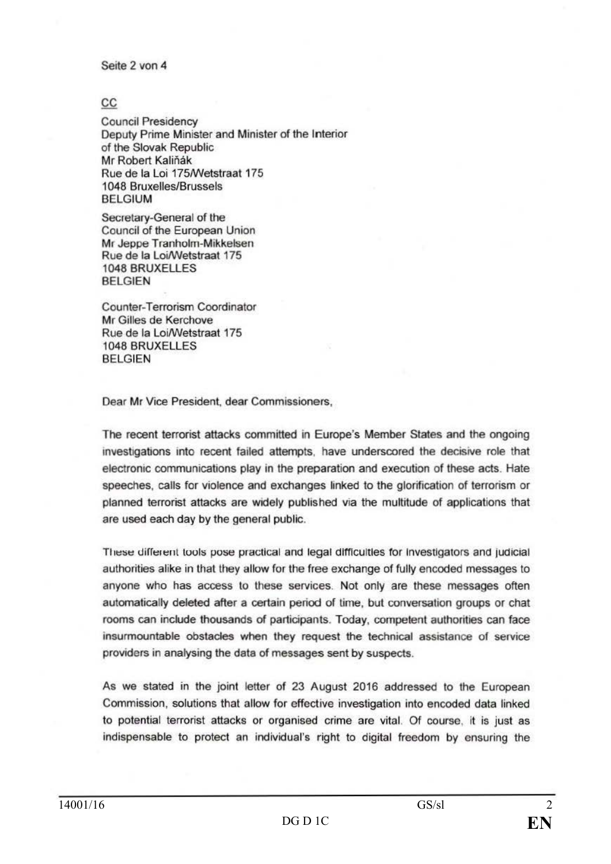Seite 2 von 4

## cc

Council Presidency Deputy Prime Minister and Minister of the Interior of the Slovak Republic Mr Robert Kaliňák Rue de la Loi 175/Wetstraat 175 1048 Bruxelles/Brussels BELGIUM

Secretary-General of the Council of the European Union Mr Jeppe Tranholm-Mikkelsen Rue de la Loi/Wetstraat 175 1048 BRUXELLES BELGIEN

Counter-Terrorism Coordinator Mr Gilles de Kerchove Rue de la LoiNVetstraat 175 1048 BRUXELLES BELGIEN

Dear Mr Vice President, dear Commissioners,

The recent terrorist attacks committed in Europe's Member States and the ongoing invesbgations into recent failed attempts. have underscored the decisive role that electronic communications play in the preparation and execution of these acts. Hate speeches. calls for violence and exchanges linked to the glorification of terrorism or planned terrorist attacks are widely published via the multitude of applications that are used each day by the general public.

These different tools pose practical and legal difficulties for investigators and judicial authorities alike in that they allow for the free exchange of fully encoded messages to anyone who has access to these services. Not only are these messages often automatically deleted after a certain period of time, but conversation groups or chat rooms can include thousands of participants. Today, competent authorities can face insurmountable obstacles when they request the technical assistance of service providers in analysing the data of messages sent by suspects.

As we stated in the joint letter of 23 August 2016 addressed to the European Commission, solutions that allow for effective investigation into encoded data linked to potential terrorist attacks or organised crime are vital. Of course, it is just as indispensable to protect an individual's right to digital freedom by ensuring the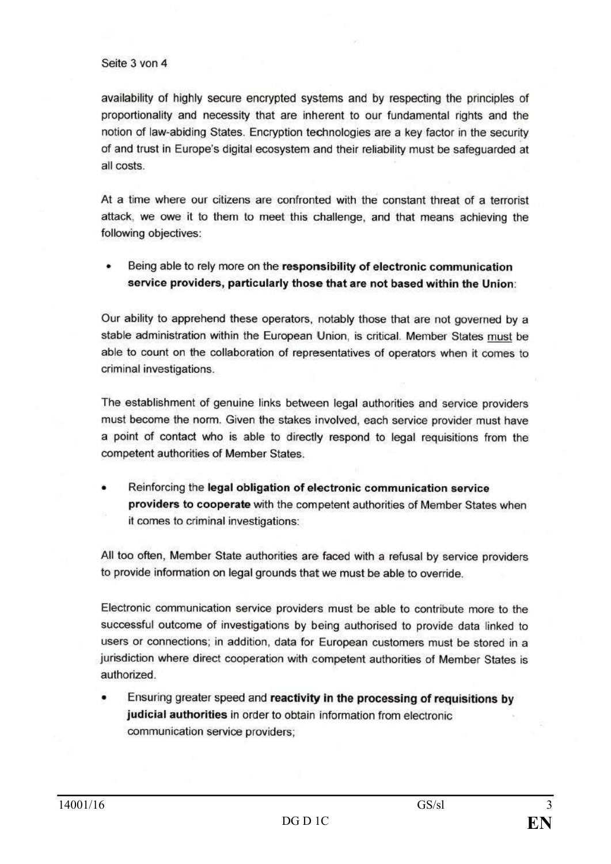## Seite 3 von 4

availability of highly secure encrypted systems and by respecting the principles of proportionality and necessity that are inherent to our fundamental rights and the notion of law-abiding States. Encryption technologies are a key factor in the security of and trust in Europe's digital ecosystem and their reliability must be safeguarded at all costs.

At a time where our citizens are confronted with the constant threat of a terrorist attack, we owe it to them to meet this challenge, and that means achieving the following objectives:

Being able to rely more on the responsibility of electronic communication service providers, particularly those that are not based within the Union:

Our ability to apprehend these operators, notably those that are not governed by a stable administration within the European Union, is critical. Member Slates must be able to count on the collaboration of representatives of operators when it comes to criminal investigations.

The establishment of genuine links between legal authorities and service providers must become the norm. Given the stakes involved, each service provider must have a point of contact who is able to directly respond to legal requisitions from the competent authorities of Member States.

• Reinforcing the legal obligation of electronic communication service providers to cooperate with the competent authorities of Member States when it comes to criminal investigations:

All too often, Member State authorities are faced with a refusal by service providers to provide information on legal grounds that we must be able to override.

Electronic communication service providers must be able to contribute more to the successful outcome of investigations by being authorised to provide data linked to users or connections; in addition, data for European customers must be stored in a jurisdiction where direct cooperation with competent authorities of Member States is authorized.

• Ensuring greater speed and reactivity in the processing of requisitions by judicial authorities in order to obtain information from electronic communication service providers;